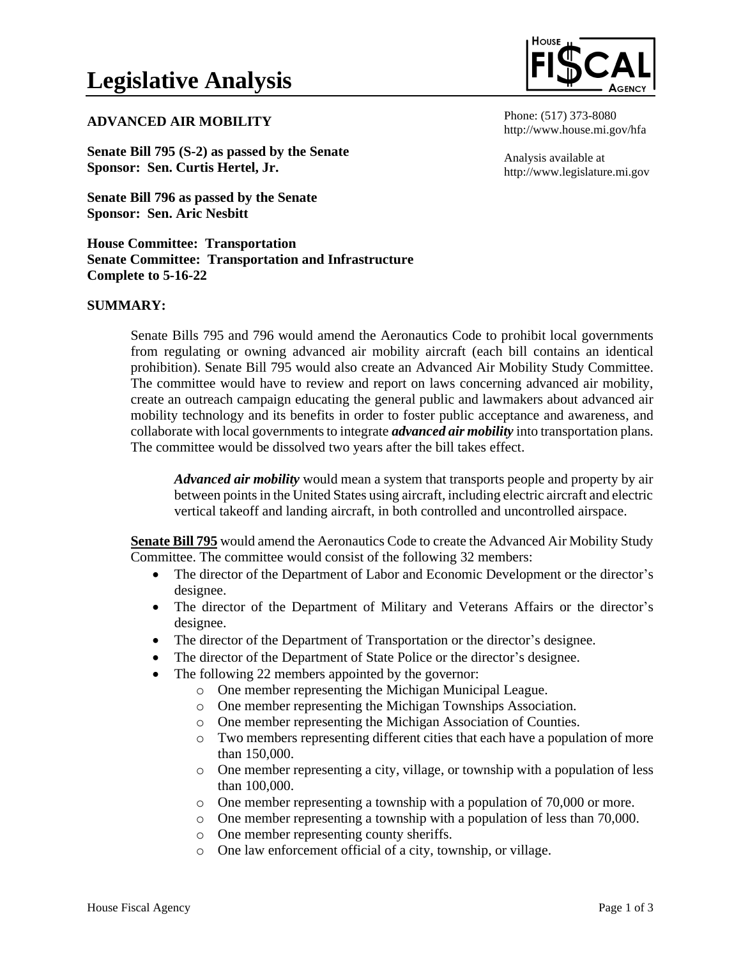## **ADVANCED AIR MOBILITY**

**Senate Bill 795 (S-2) as passed by the Senate Sponsor: Sen. Curtis Hertel, Jr.**

**Senate Bill 796 as passed by the Senate Sponsor: Sen. Aric Nesbitt**

## **House Committee: Transportation Senate Committee: Transportation and Infrastructure Complete to 5-16-22**

#### **SUMMARY:**

Senate Bills 795 and 796 would amend the Aeronautics Code to prohibit local governments from regulating or owning advanced air mobility aircraft (each bill contains an identical prohibition). Senate Bill 795 would also create an Advanced Air Mobility Study Committee. The committee would have to review and report on laws concerning advanced air mobility, create an outreach campaign educating the general public and lawmakers about advanced air mobility technology and its benefits in order to foster public acceptance and awareness, and collaborate with local governments to integrate *advanced air mobility* into transportation plans. The committee would be dissolved two years after the bill takes effect.

*Advanced air mobility* would mean a system that transports people and property by air between points in the United States using aircraft, including electric aircraft and electric vertical takeoff and landing aircraft, in both controlled and uncontrolled airspace.

**Senate Bill 795** would amend the Aeronautics Code to create the Advanced Air Mobility Study Committee. The committee would consist of the following 32 members:

- The director of the Department of Labor and Economic Development or the director's designee.
- The director of the Department of Military and Veterans Affairs or the director's designee.
- The director of the Department of Transportation or the director's designee.
- The director of the Department of State Police or the director's designee.
- The following 22 members appointed by the governor:
	- o One member representing the Michigan Municipal League.
		- o One member representing the Michigan Townships Association.
		- o One member representing the Michigan Association of Counties.
		- o Two members representing different cities that each have a population of more than 150,000.
		- o One member representing a city, village, or township with a population of less than 100,000.
		- o One member representing a township with a population of 70,000 or more.
	- o One member representing a township with a population of less than 70,000.
	- o One member representing county sheriffs.
	- o One law enforcement official of a city, township, or village.



Phone: (517) 373-8080 http://www.house.mi.gov/hfa

Analysis available at http://www.legislature.mi.gov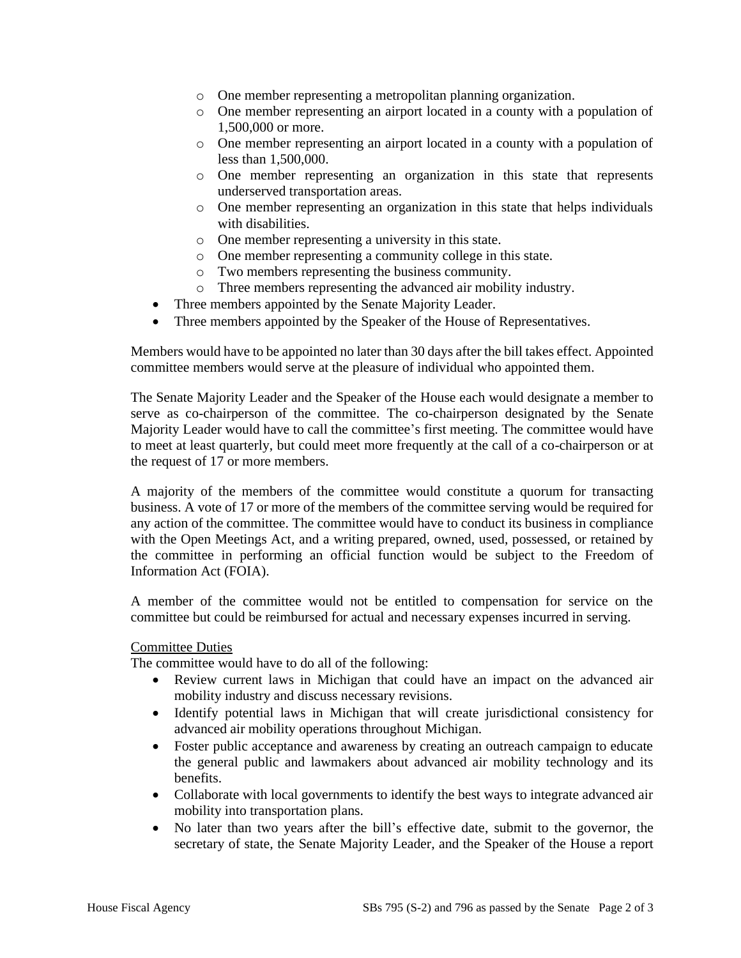- o One member representing a metropolitan planning organization.
- o One member representing an airport located in a county with a population of 1,500,000 or more.
- o One member representing an airport located in a county with a population of less than 1,500,000.
- o One member representing an organization in this state that represents underserved transportation areas.
- o One member representing an organization in this state that helps individuals with disabilities.
- o One member representing a university in this state.
- o One member representing a community college in this state.
- o Two members representing the business community.
- o Three members representing the advanced air mobility industry.
- Three members appointed by the Senate Majority Leader.
- Three members appointed by the Speaker of the House of Representatives.

Members would have to be appointed no later than 30 days after the bill takes effect. Appointed committee members would serve at the pleasure of individual who appointed them.

The Senate Majority Leader and the Speaker of the House each would designate a member to serve as co-chairperson of the committee. The co-chairperson designated by the Senate Majority Leader would have to call the committee's first meeting. The committee would have to meet at least quarterly, but could meet more frequently at the call of a co-chairperson or at the request of 17 or more members.

A majority of the members of the committee would constitute a quorum for transacting business. A vote of 17 or more of the members of the committee serving would be required for any action of the committee. The committee would have to conduct its business in compliance with the Open Meetings Act, and a writing prepared, owned, used, possessed, or retained by the committee in performing an official function would be subject to the Freedom of Information Act (FOIA).

A member of the committee would not be entitled to compensation for service on the committee but could be reimbursed for actual and necessary expenses incurred in serving.

### Committee Duties

The committee would have to do all of the following:

- Review current laws in Michigan that could have an impact on the advanced air mobility industry and discuss necessary revisions.
- Identify potential laws in Michigan that will create jurisdictional consistency for advanced air mobility operations throughout Michigan.
- Foster public acceptance and awareness by creating an outreach campaign to educate the general public and lawmakers about advanced air mobility technology and its benefits.
- Collaborate with local governments to identify the best ways to integrate advanced air mobility into transportation plans.
- No later than two years after the bill's effective date, submit to the governor, the secretary of state, the Senate Majority Leader, and the Speaker of the House a report